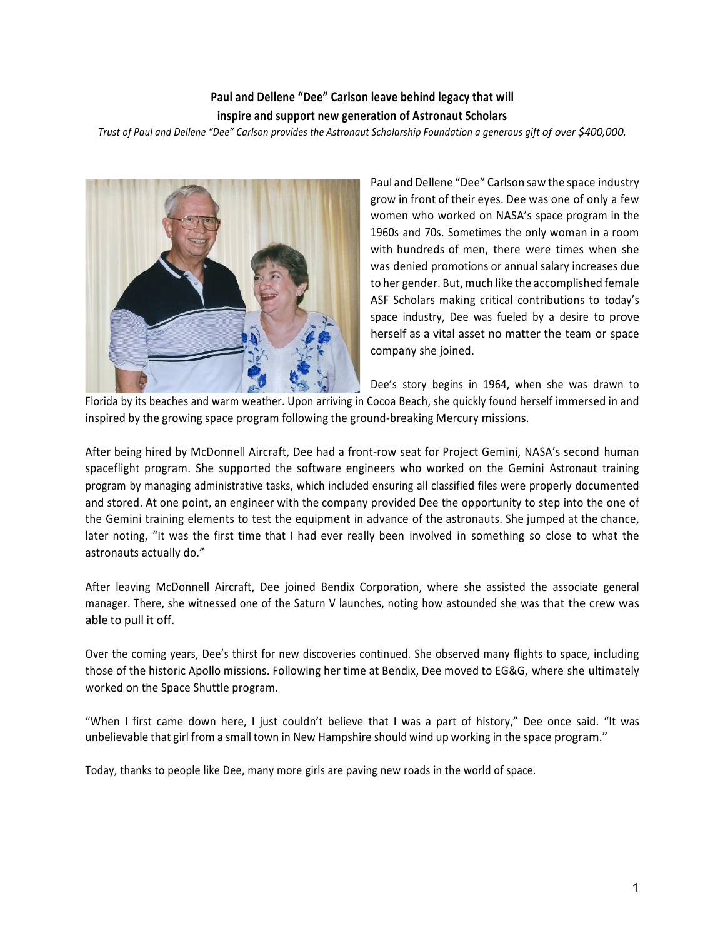## **Paul and Dellene "Dee" Carlson leave behind legacy that will inspire and support new generation of Astronaut Scholars**

*Trust of Paul and Dellene "Dee" Carlson provides the Astronaut Scholarship Foundation a generous gift of over \$400,000.*



Paul and Dellene "Dee" Carlson saw the space industry grow in front of their eyes. Dee was one of only a few women who worked on NASA's space program in the 1960s and 70s. Sometimes the only woman in a room with hundreds of men, there were times when she was denied promotions or annual salary increases due to her gender. But, much like the accomplished female ASF Scholars making critical contributions to today's space industry, Dee was fueled by a desire to prove herself as a vital asset no matter the team or space company she joined.

Dee's story begins in 1964, when she was drawn to

Florida by its beaches and warm weather. Upon arriving in Cocoa Beach, she quickly found herself immersed in and inspired by the growing space program following the ground-breaking Mercury missions.

After being hired by McDonnell Aircraft, Dee had a front-row seat for Project Gemini, NASA's second human spaceflight program. She supported the software engineers who worked on the Gemini Astronaut training program by managing administrative tasks, which included ensuring all classified files were properly documented and stored. At one point, an engineer with the company provided Dee the opportunity to step into the one of the Gemini training elements to test the equipment in advance of the astronauts. She jumped at the chance, later noting, "It was the first time that I had ever really been involved in something so close to what the astronauts actually do."

After leaving McDonnell Aircraft, Dee joined Bendix Corporation, where she assisted the associate general manager. There, she witnessed one of the Saturn V launches, noting how astounded she was that the crew was able to pull it off.

Over the coming years, Dee's thirst for new discoveries continued. She observed many flights to space, including those of the historic Apollo missions. Following her time at Bendix, Dee moved to EG&G, where she ultimately worked on the Space Shuttle program.

"When I first came down here, I just couldn't believe that I was a part of history," Dee once said. "It was unbelievable that girl from a small town in New Hampshire should wind up working in the space program."

Today, thanks to people like Dee, many more girls are paving new roads in the world of space.